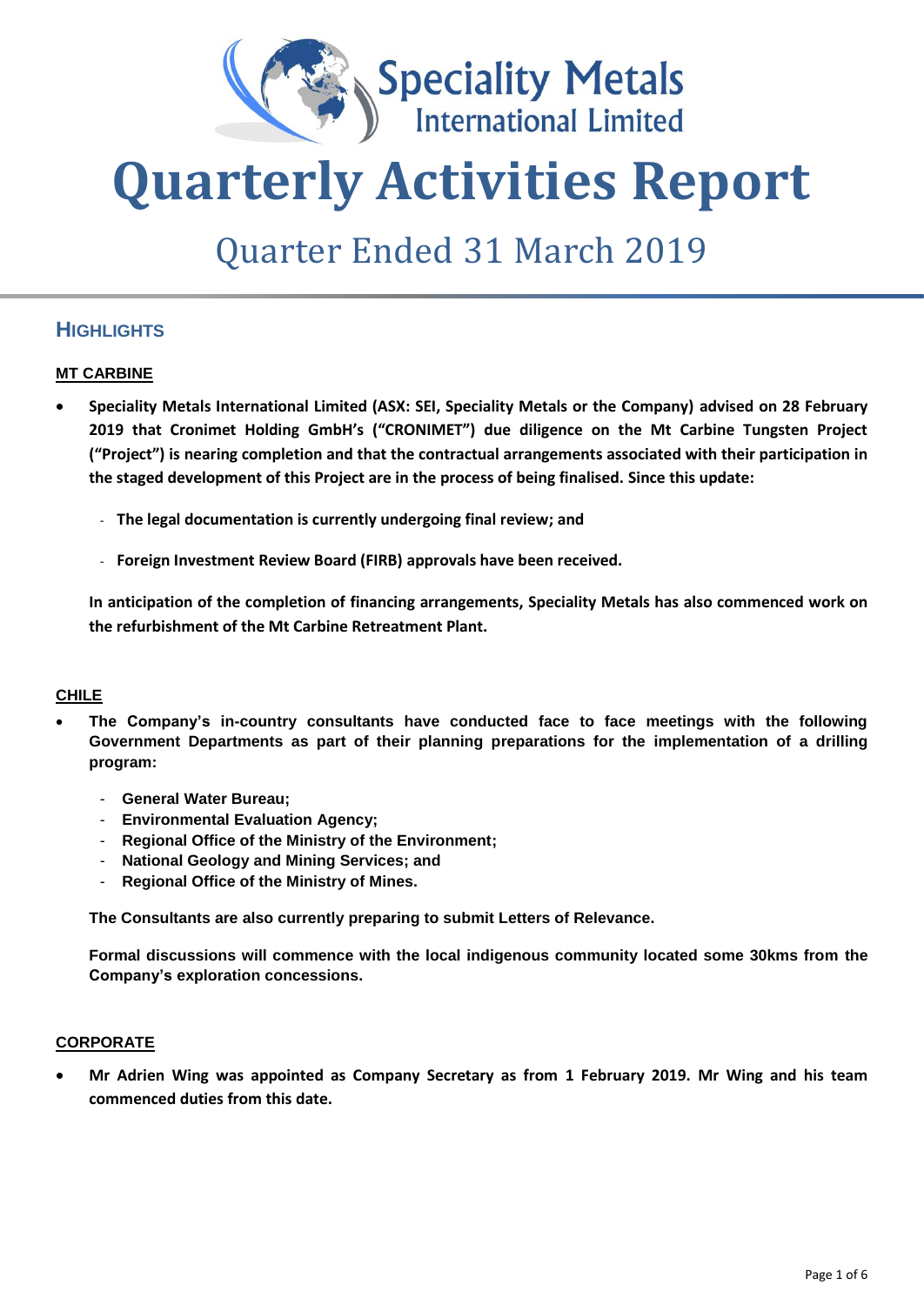

# **Quarterly Activities Report**

# Quarter Ended 31 March 2019

# **HIGHLIGHTS**

#### **MT CARBINE**

- **Speciality Metals International Limited (ASX: SEI, Speciality Metals or the Company) advised on 28 February 2019 that Cronimet Holding GmbH's ("CRONIMET") due diligence on the Mt Carbine Tungsten Project ("Project") is nearing completion and that the contractual arrangements associated with their participation in the staged development of this Project are in the process of being finalised. Since this update:** 
	- **The legal documentation is currently undergoing final review; and**
	- **Foreign Investment Review Board (FIRB) approvals have been received.**

**In anticipation of the completion of financing arrangements, Speciality Metals has also commenced work on the refurbishment of the Mt Carbine Retreatment Plant.**

#### **CHILE**

- **The Company's in-country consultants have conducted face to face meetings with the following Government Departments as part of their planning preparations for the implementation of a drilling program:**
	- **General Water Bureau;**
	- **Environmental Evaluation Agency;**
	- **Regional Office of the Ministry of the Environment;**
	- **National Geology and Mining Services; and**
	- **Regional Office of the Ministry of Mines.**

**The Consultants are also currently preparing to submit Letters of Relevance.**

**Formal discussions will commence with the local indigenous community located some 30kms from the Company's exploration concessions.**

#### **CORPORATE**

• **Mr Adrien Wing was appointed as Company Secretary as from 1 February 2019. Mr Wing and his team commenced duties from this date.**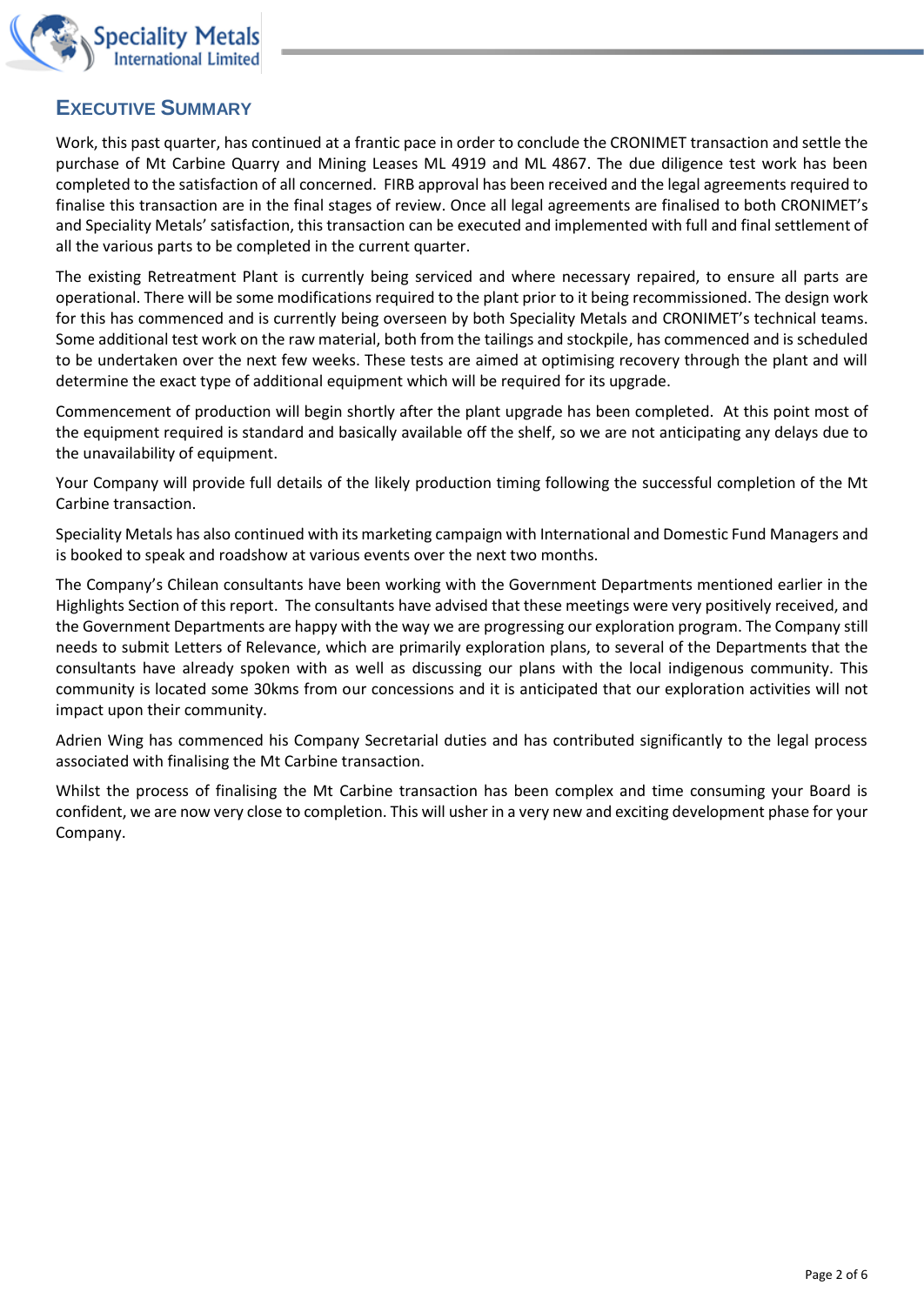

# **EXECUTIVE SUMMARY**

Work, this past quarter, has continued at a frantic pace in order to conclude the CRONIMET transaction and settle the purchase of Mt Carbine Quarry and Mining Leases ML 4919 and ML 4867. The due diligence test work has been completed to the satisfaction of all concerned. FIRB approval has been received and the legal agreements required to finalise this transaction are in the final stages of review. Once all legal agreements are finalised to both CRONIMET's and Speciality Metals' satisfaction, this transaction can be executed and implemented with full and final settlement of all the various parts to be completed in the current quarter.

The existing Retreatment Plant is currently being serviced and where necessary repaired, to ensure all parts are operational. There will be some modifications required to the plant prior to it being recommissioned. The design work for this has commenced and is currently being overseen by both Speciality Metals and CRONIMET's technical teams. Some additional test work on the raw material, both from the tailings and stockpile, has commenced and is scheduled to be undertaken over the next few weeks. These tests are aimed at optimising recovery through the plant and will determine the exact type of additional equipment which will be required for its upgrade.

Commencement of production will begin shortly after the plant upgrade has been completed. At this point most of the equipment required is standard and basically available off the shelf, so we are not anticipating any delays due to the unavailability of equipment.

Your Company will provide full details of the likely production timing following the successful completion of the Mt Carbine transaction.

Speciality Metals has also continued with its marketing campaign with International and Domestic Fund Managers and is booked to speak and roadshow at various events over the next two months.

The Company's Chilean consultants have been working with the Government Departments mentioned earlier in the Highlights Section of this report. The consultants have advised that these meetings were very positively received, and the Government Departments are happy with the way we are progressing our exploration program. The Company still needs to submit Letters of Relevance, which are primarily exploration plans, to several of the Departments that the consultants have already spoken with as well as discussing our plans with the local indigenous community. This community is located some 30kms from our concessions and it is anticipated that our exploration activities will not impact upon their community.

Adrien Wing has commenced his Company Secretarial duties and has contributed significantly to the legal process associated with finalising the Mt Carbine transaction.

Whilst the process of finalising the Mt Carbine transaction has been complex and time consuming your Board is confident, we are now very close to completion. This will usher in a very new and exciting development phase for your Company.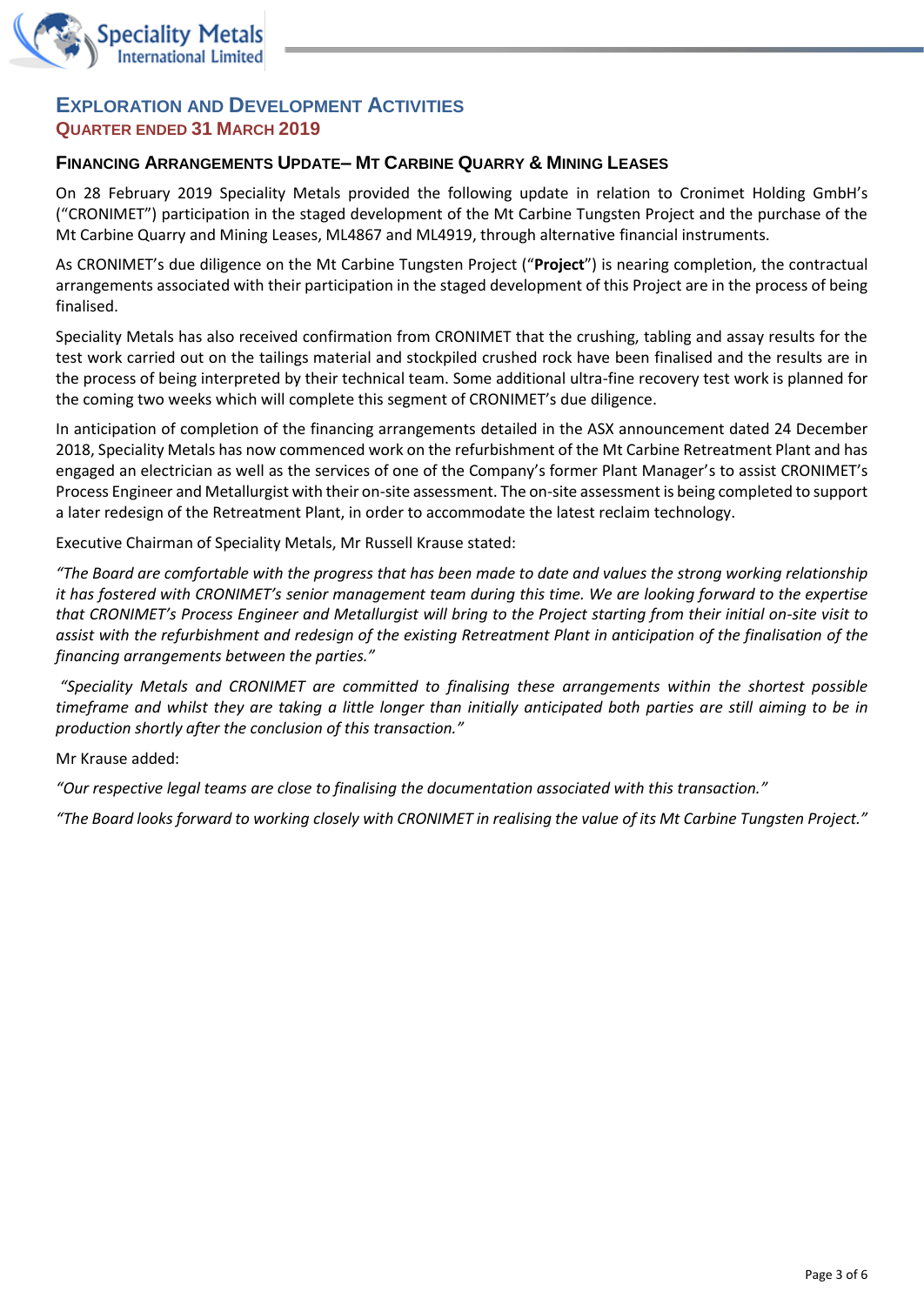

### **EXPLORATION AND DEVELOPMENT ACTIVITIES QUARTER ENDED 31 MARCH 2019**

#### **FINANCING ARRANGEMENTS UPDATE– MT CARBINE QUARRY & MINING LEASES**

On 28 February 2019 Speciality Metals provided the following update in relation to Cronimet Holding GmbH's ("CRONIMET") participation in the staged development of the Mt Carbine Tungsten Project and the purchase of the Mt Carbine Quarry and Mining Leases, ML4867 and ML4919, through alternative financial instruments.

As CRONIMET's due diligence on the Mt Carbine Tungsten Project ("**Project**") is nearing completion, the contractual arrangements associated with their participation in the staged development of this Project are in the process of being finalised.

Speciality Metals has also received confirmation from CRONIMET that the crushing, tabling and assay results for the test work carried out on the tailings material and stockpiled crushed rock have been finalised and the results are in the process of being interpreted by their technical team. Some additional ultra-fine recovery test work is planned for the coming two weeks which will complete this segment of CRONIMET's due diligence.

In anticipation of completion of the financing arrangements detailed in the ASX announcement dated 24 December 2018, Speciality Metals has now commenced work on the refurbishment of the Mt Carbine Retreatment Plant and has engaged an electrician as well as the services of one of the Company's former Plant Manager's to assist CRONIMET's Process Engineer and Metallurgist with their on-site assessment. The on-site assessment is being completed to support a later redesign of the Retreatment Plant, in order to accommodate the latest reclaim technology.

Executive Chairman of Speciality Metals, Mr Russell Krause stated:

*"The Board are comfortable with the progress that has been made to date and values the strong working relationship it has fostered with CRONIMET's senior management team during this time. We are looking forward to the expertise that CRONIMET's Process Engineer and Metallurgist will bring to the Project starting from their initial on-site visit to assist with the refurbishment and redesign of the existing Retreatment Plant in anticipation of the finalisation of the financing arrangements between the parties."*

*"Speciality Metals and CRONIMET are committed to finalising these arrangements within the shortest possible timeframe and whilst they are taking a little longer than initially anticipated both parties are still aiming to be in production shortly after the conclusion of this transaction."*

Mr Krause added:

*"Our respective legal teams are close to finalising the documentation associated with this transaction."*

*"The Board looks forward to working closely with CRONIMET in realising the value of its Mt Carbine Tungsten Project."*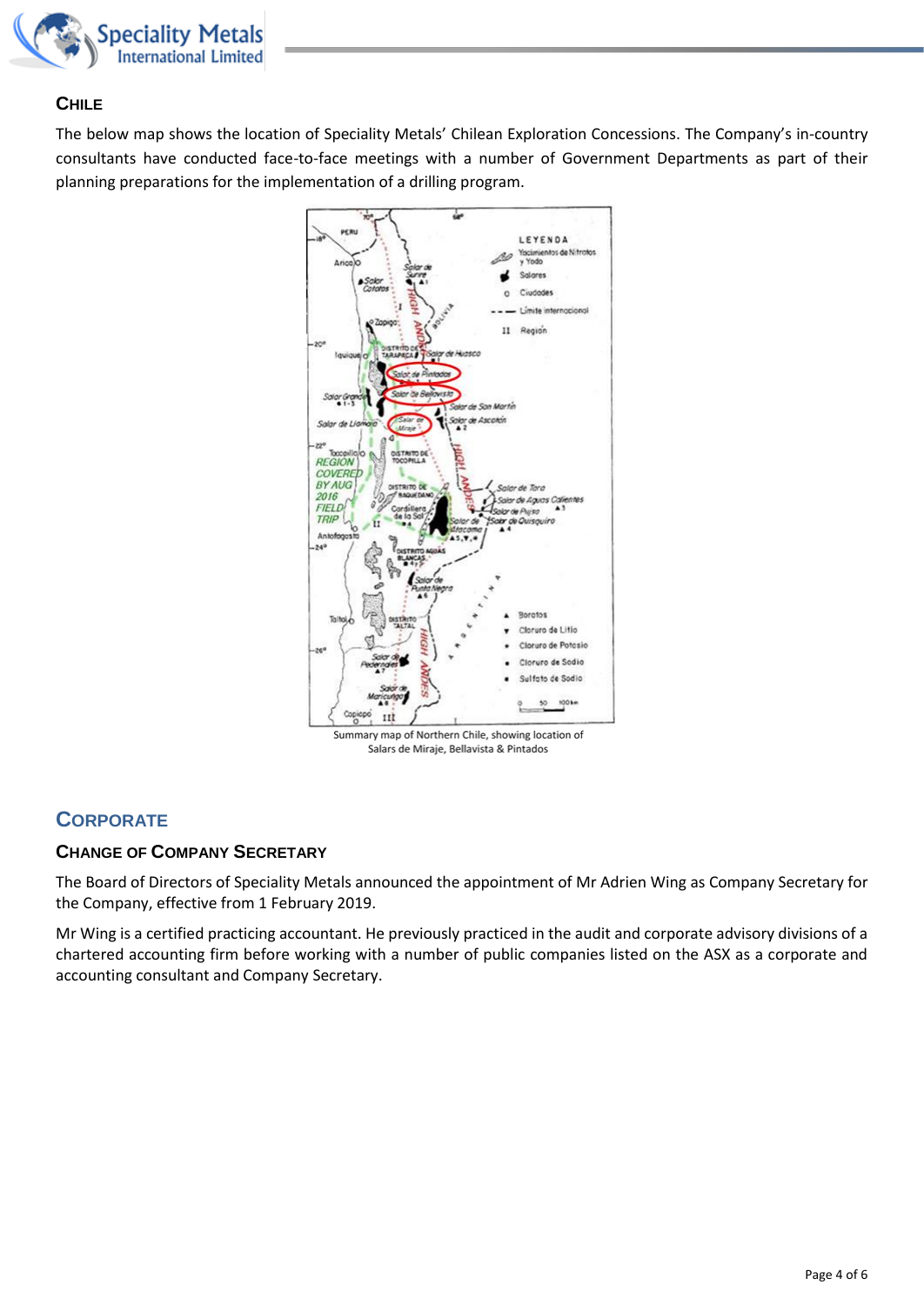

#### **CHILE**

The below map shows the location of Speciality Metals' Chilean Exploration Concessions. The Company's in-country consultants have conducted face-to-face meetings with a number of Government Departments as part of their planning preparations for the implementation of a drilling program.



Summary map of Northern Chile, showing location of Salars de Miraje, Bellavista & Pintados

# **CORPORATE**

### **CHANGE OF COMPANY SECRETARY**

The Board of Directors of Speciality Metals announced the appointment of Mr Adrien Wing as Company Secretary for the Company, effective from 1 February 2019.

Mr Wing is a certified practicing accountant. He previously practiced in the audit and corporate advisory divisions of a chartered accounting firm before working with a number of public companies listed on the ASX as a corporate and accounting consultant and Company Secretary.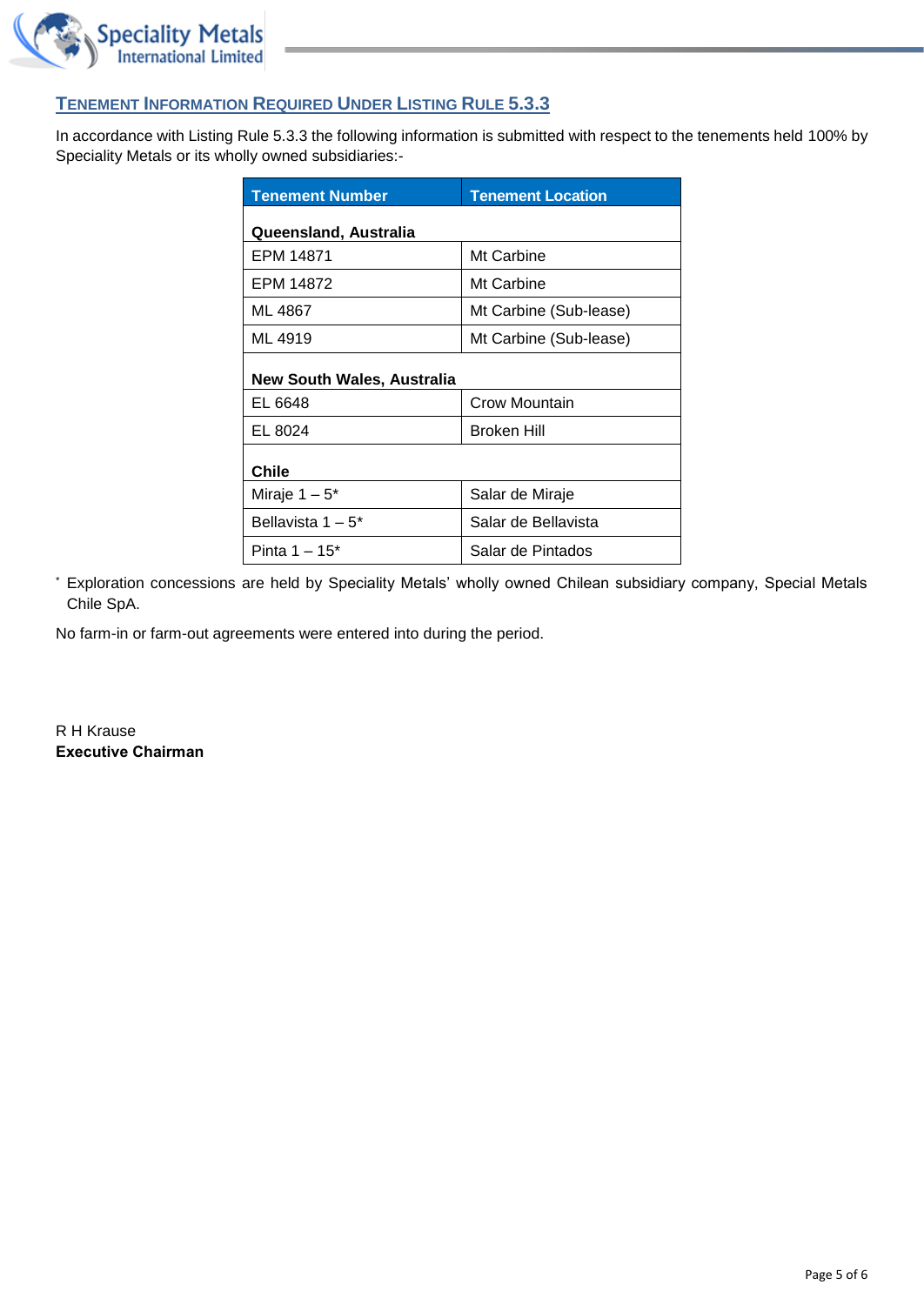

### **TENEMENT INFORMATION REQUIRED UNDER LISTING RULE 5.3.3**

In accordance with Listing Rule 5.3.3 the following information is submitted with respect to the tenements held 100% by Speciality Metals or its wholly owned subsidiaries:-

| <b>Tenement Number</b>     | <b>Tenement Location</b> |  |
|----------------------------|--------------------------|--|
| Queensland, Australia      |                          |  |
| EPM 14871                  | Mt Carbine               |  |
| EPM 14872                  | Mt Carbine               |  |
| ML 4867                    | Mt Carbine (Sub-lease)   |  |
| ML 4919                    | Mt Carbine (Sub-lease)   |  |
| New South Wales, Australia |                          |  |
| EL 6648                    | Crow Mountain            |  |
| EL 8024                    | <b>Broken Hill</b>       |  |
| Chile                      |                          |  |
| Miraje $1-5^*$             | Salar de Miraje          |  |
| Bellavista $1-5^*$         | Salar de Bellavista      |  |
| Pinta $1 - 15^*$           | Salar de Pintados        |  |

\* Exploration concessions are held by Speciality Metals' wholly owned Chilean subsidiary company, Special Metals Chile SpA.

No farm-in or farm-out agreements were entered into during the period.

R H Krause **Executive Chairman**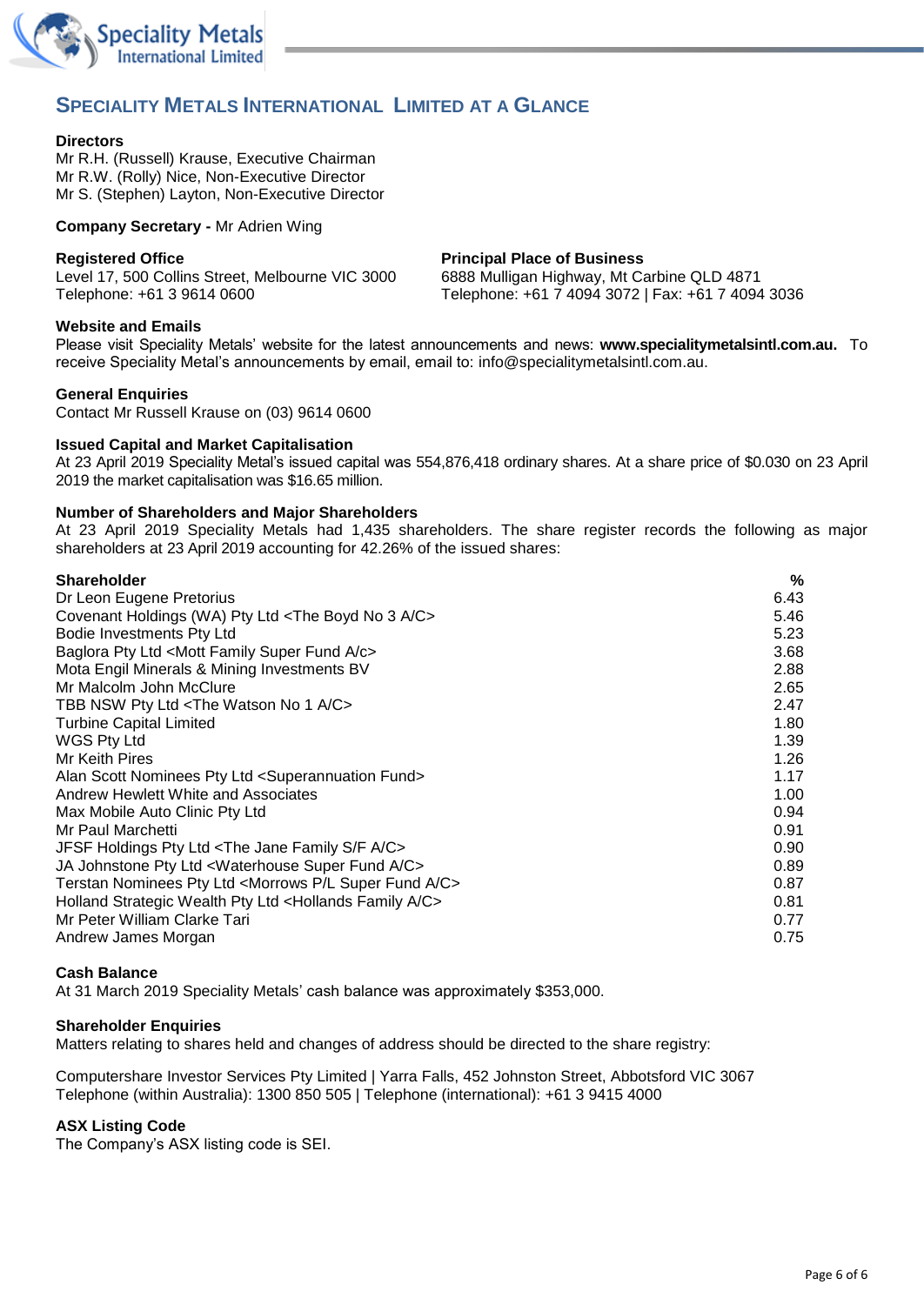

## **SPECIALITY METALS INTERNATIONAL LIMITED AT A GLANCE**

#### **Directors**

Mr R.H. (Russell) Krause, Executive Chairman Mr R.W. (Rolly) Nice, Non-Executive Director Mr S. (Stephen) Layton, Non-Executive Director

**Company Secretary -** Mr Adrien Wing

**Registered Office Principal Place of Business**

Level 17, 500 Collins Street, Melbourne VIC 3000 6888 Mulligan Highway, Mt Carbine QLD 4871 Telephone: +61 3 9614 0600 Telephone: +61 7 4094 3072 | Fax: +61 7 4094 3036

#### **Website and Emails**

Please visit Speciality Metals' website for the latest announcements and news: **[www.specialitymetalsintl.com.au.](http://www.carbinetungsten.com.au/)** To receive Speciality Metal's announcements by email, email to: [info@specialitym](mailto:info@speciality)etalsintl.com.au.

#### **General Enquiries**

Contact Mr Russell Krause on (03) 9614 0600

#### **Issued Capital and Market Capitalisation**

At 23 April 2019 Speciality Metal's issued capital was 554,876,418 ordinary shares. At a share price of \$0.030 on 23 April 2019 the market capitalisation was \$16.65 million.

#### **Number of Shareholders and Major Shareholders**

At 23 April 2019 Speciality Metals had 1,435 shareholders. The share register records the following as major shareholders at 23 April 2019 accounting for 42.26% of the issued shares:

| <b>Shareholder</b>                                                                | %    |
|-----------------------------------------------------------------------------------|------|
| Dr Leon Eugene Pretorius                                                          | 6.43 |
| Covenant Holdings (WA) Pty Ltd <the 3="" a="" boyd="" c="" no=""></the>           | 5.46 |
| Bodie Investments Pty Ltd                                                         | 5.23 |
| Baglora Pty Ltd <mott a="" c="" family="" fund="" super=""></mott>                | 3.68 |
| Mota Engil Minerals & Mining Investments BV                                       | 2.88 |
| Mr Malcolm John McClure                                                           | 2.65 |
| TBB NSW Pty Ltd <the 1="" a="" c="" no="" watson=""></the>                        | 2.47 |
| <b>Turbine Capital Limited</b>                                                    | 1.80 |
| <b>WGS Pty Ltd</b>                                                                | 1.39 |
| Mr Keith Pires                                                                    | 1.26 |
| Alan Scott Nominees Pty Ltd <superannuation fund=""></superannuation>             | 1.17 |
| Andrew Hewlett White and Associates                                               | 1.00 |
| Max Mobile Auto Clinic Pty Ltd                                                    | 0.94 |
| Mr Paul Marchetti                                                                 | 0.91 |
| JFSF Holdings Pty Ltd <the a="" c="" f="" family="" jane="" s=""></the>           | 0.90 |
| JA Johnstone Pty Ltd <waterhouse a="" c="" fund="" super=""></waterhouse>         | 0.89 |
| Terstan Nominees Pty Ltd <morrows a="" c="" fund="" l="" p="" super=""></morrows> | 0.87 |
| Holland Strategic Wealth Pty Ltd <hollands a="" c="" family=""></hollands>        | 0.81 |
| Mr Peter William Clarke Tari                                                      | 0.77 |
| Andrew James Morgan                                                               | 0.75 |

#### **Cash Balance**

At 31 March 2019 Speciality Metals' cash balance was approximately \$353,000.

#### **Shareholder Enquiries**

Matters relating to shares held and changes of address should be directed to the share registry:

Computershare Investor Services Pty Limited | Yarra Falls, 452 Johnston Street, Abbotsford VIC 3067 Telephone (within Australia): 1300 850 505 | Telephone (international): +61 3 9415 4000

#### **ASX Listing Code**

The Company's ASX listing code is SEI.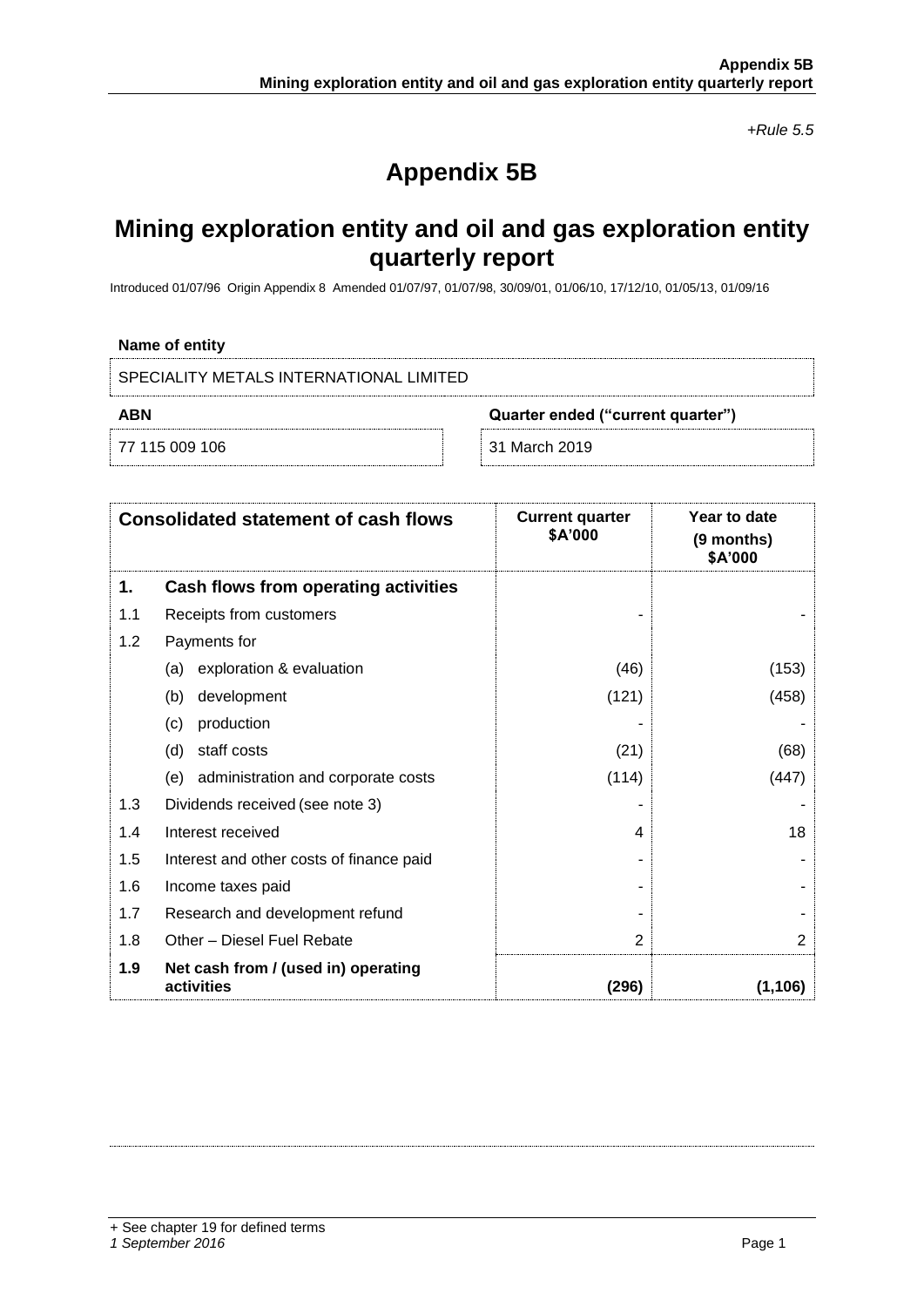*+Rule 5.5*

# **Appendix 5B**

# **Mining exploration entity and oil and gas exploration entity quarterly report**

Introduced 01/07/96 Origin Appendix 8 Amended 01/07/97, 01/07/98, 30/09/01, 01/06/10, 17/12/10, 01/05/13, 01/09/16

#### **Name of entity**

SPECIALITY METALS INTERNATIONAL LIMITED

**ABN Quarter ended ("current quarter")**

77 115 009 106 31 March 2019

|     | <b>Consolidated statement of cash flows</b>       | <b>Current quarter</b><br>\$A'000 | Year to date<br>(9 months)<br>\$A'000 |
|-----|---------------------------------------------------|-----------------------------------|---------------------------------------|
| 1.  | Cash flows from operating activities              |                                   |                                       |
| 1.1 | Receipts from customers                           |                                   |                                       |
| 1.2 | Payments for                                      |                                   |                                       |
|     | exploration & evaluation<br>(a)                   | (46)                              | (153)                                 |
|     | development<br>(b)                                | (121)                             | (458)                                 |
|     | production<br>(c)                                 |                                   |                                       |
|     | staff costs<br>(d)                                | (21)                              | (68)                                  |
|     | administration and corporate costs<br>(e)         | (114)                             | (447)                                 |
| 1.3 | Dividends received (see note 3)                   |                                   |                                       |
| 1.4 | Interest received                                 | 4                                 | 18                                    |
| 1.5 | Interest and other costs of finance paid          |                                   |                                       |
| 1.6 | Income taxes paid                                 |                                   |                                       |
| 1.7 | Research and development refund                   |                                   |                                       |
| 1.8 | Other - Diesel Fuel Rebate                        | 2                                 | 2                                     |
| 1.9 | Net cash from / (used in) operating<br>activities | (296)                             | (1,106)                               |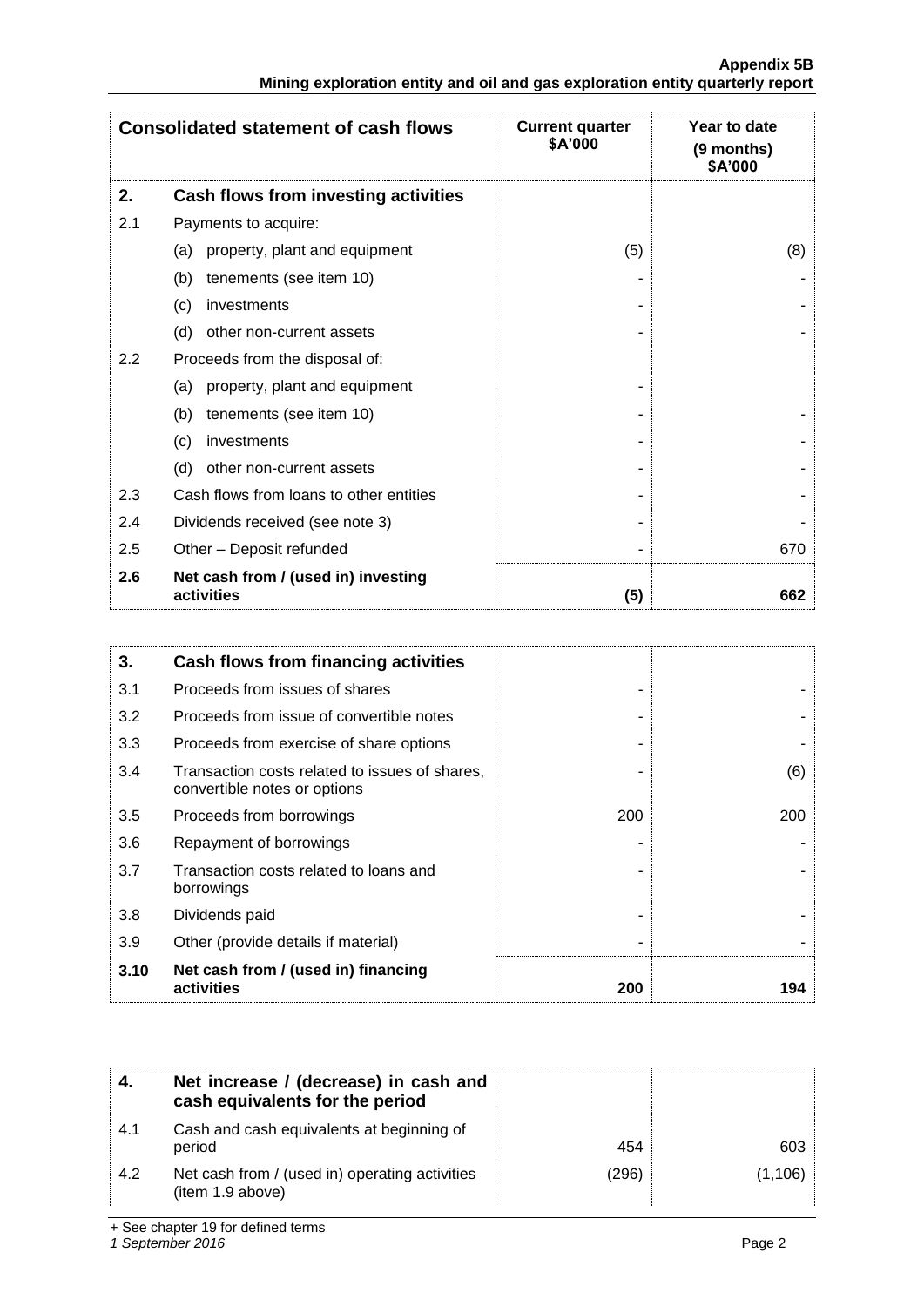|                                                                               | <b>Appendix 5B</b> |
|-------------------------------------------------------------------------------|--------------------|
| Mining exploration entity and oil and gas exploration entity quarterly report |                    |

|     | <b>Consolidated statement of cash flows</b>       | <b>Current quarter</b><br>\$A'000 | Year to date<br>(9 months)<br>\$A'000 |
|-----|---------------------------------------------------|-----------------------------------|---------------------------------------|
| 2.  | Cash flows from investing activities              |                                   |                                       |
| 2.1 | Payments to acquire:                              |                                   |                                       |
|     | property, plant and equipment<br>(a)              | (5)                               | (8)                                   |
|     | (b)<br>tenements (see item 10)                    |                                   |                                       |
|     | investments<br>(c)                                |                                   |                                       |
|     | (d)<br>other non-current assets                   |                                   |                                       |
| 2.2 | Proceeds from the disposal of:                    |                                   |                                       |
|     | property, plant and equipment<br>(a)              |                                   |                                       |
|     | (b)<br>tenements (see item 10)                    |                                   |                                       |
|     | (c)<br>investments                                |                                   |                                       |
|     | (d)<br>other non-current assets                   |                                   |                                       |
| 2.3 | Cash flows from loans to other entities           |                                   |                                       |
| 2.4 | Dividends received (see note 3)                   |                                   |                                       |
| 2.5 | Other - Deposit refunded                          |                                   | 670                                   |
| 2.6 | Net cash from / (used in) investing<br>activities | (5)                               | 662                                   |

| 3.   | Cash flows from financing activities                                           |     |     |
|------|--------------------------------------------------------------------------------|-----|-----|
| 3.1  | Proceeds from issues of shares                                                 |     |     |
| 3.2  | Proceeds from issue of convertible notes                                       |     |     |
| 3.3  | Proceeds from exercise of share options                                        |     |     |
| 3.4  | Transaction costs related to issues of shares,<br>convertible notes or options |     | (6) |
| 3.5  | Proceeds from borrowings                                                       | 200 | 200 |
| 3.6  | Repayment of borrowings                                                        |     |     |
| 3.7  | Transaction costs related to loans and<br>borrowings                           |     |     |
| 3.8  | Dividends paid                                                                 |     |     |
| 3.9  | Other (provide details if material)                                            |     |     |
| 3.10 | Net cash from / (used in) financing<br>activities                              | 200 | 194 |

|     | Net increase / (decrease) in cash and<br>cash equivalents for the period |       |          |
|-----|--------------------------------------------------------------------------|-------|----------|
| 4.1 | Cash and cash equivalents at beginning of<br>period                      | 454   | 603      |
| 4.2 | Net cash from / (used in) operating activities<br>(item 1.9 above)       | (296) | (1, 106) |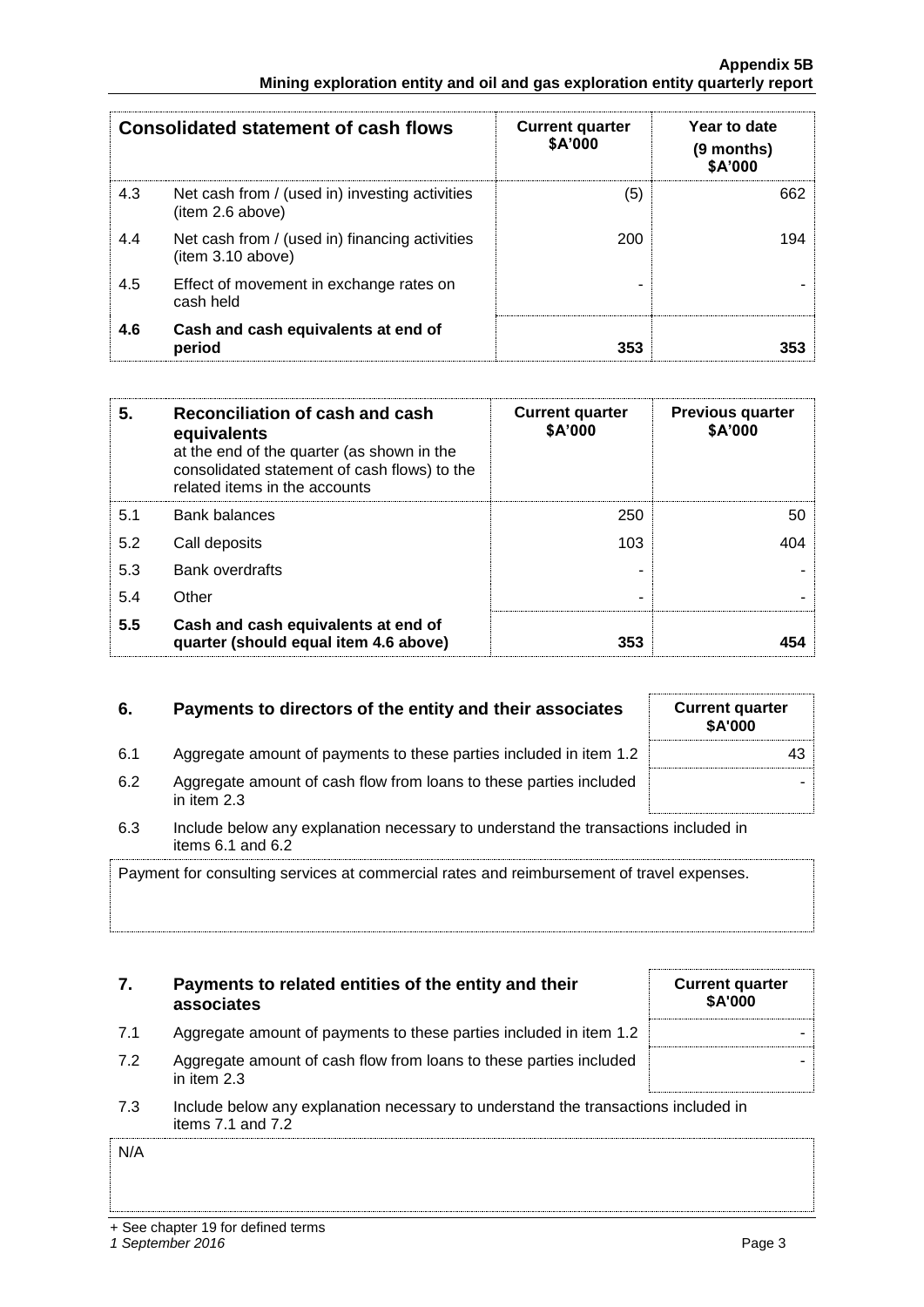+ See chapter 19 for defined terms

|     | <b>Consolidated statement of cash flows</b>                        | <b>Current quarter</b><br>\$A'000 | Year to date<br>(9 months)<br>\$A'000 |
|-----|--------------------------------------------------------------------|-----------------------------------|---------------------------------------|
| 4.3 | Net cash from / (used in) investing activities<br>(item 2.6 above) | (5)                               | 662                                   |
| 4.4 | Net cash from / (used in) financing activities<br>item 3.10 above) | 200                               | 194                                   |
| 4.5 | Effect of movement in exchange rates on<br>cash held               | ۰                                 |                                       |
| 4.6 | Cash and cash equivalents at end of<br>period                      | 353                               | 353                                   |

| 5.  | Reconciliation of cash and cash<br>equivalents<br>at the end of the quarter (as shown in the<br>consolidated statement of cash flows) to the<br>related items in the accounts | <b>Current quarter</b><br>\$A'000 | <b>Previous quarter</b><br>\$A'000 |
|-----|-------------------------------------------------------------------------------------------------------------------------------------------------------------------------------|-----------------------------------|------------------------------------|
| 5.1 | <b>Bank balances</b>                                                                                                                                                          | 250                               | 50                                 |
| 5.2 | Call deposits                                                                                                                                                                 | 103                               | 404                                |
| 5.3 | <b>Bank overdrafts</b>                                                                                                                                                        |                                   |                                    |
| 5.4 | Other                                                                                                                                                                         | -                                 |                                    |
| 5.5 | Cash and cash equivalents at end of<br>quarter (should equal item 4.6 above)                                                                                                  | 353                               |                                    |

## **6.** Payments to directors of the entity and their associates

| 6.1 | Aggregate amount of payments to these parties included in item 1.2 $\pm$ |  |
|-----|--------------------------------------------------------------------------|--|
|     |                                                                          |  |

- 6.2 Aggregate amount of cash flow from loans to these parties included in item 2.3
- 6.3 Include below any explanation necessary to understand the transactions included in items 6.1 and 6.2

Payment for consulting services at commercial rates and reimbursement of travel expenses.

## **7. Payments to related entities of the entity and their associates**

| <b>Current quarter</b><br>\$A'000 |
|-----------------------------------|
|                                   |
|                                   |

- 7.1 Aggregate amount of payments to these parties included in item 1.2 7.2 Aggregate amount of cash flow from loans to these parties included
- in item 2.3
- 7.3 Include below any explanation necessary to understand the transactions included in items 7.1 and 7.2

N/A

| <b>Current quarter</b><br>\$A'000 |  |
|-----------------------------------|--|
| 43                                |  |
|                                   |  |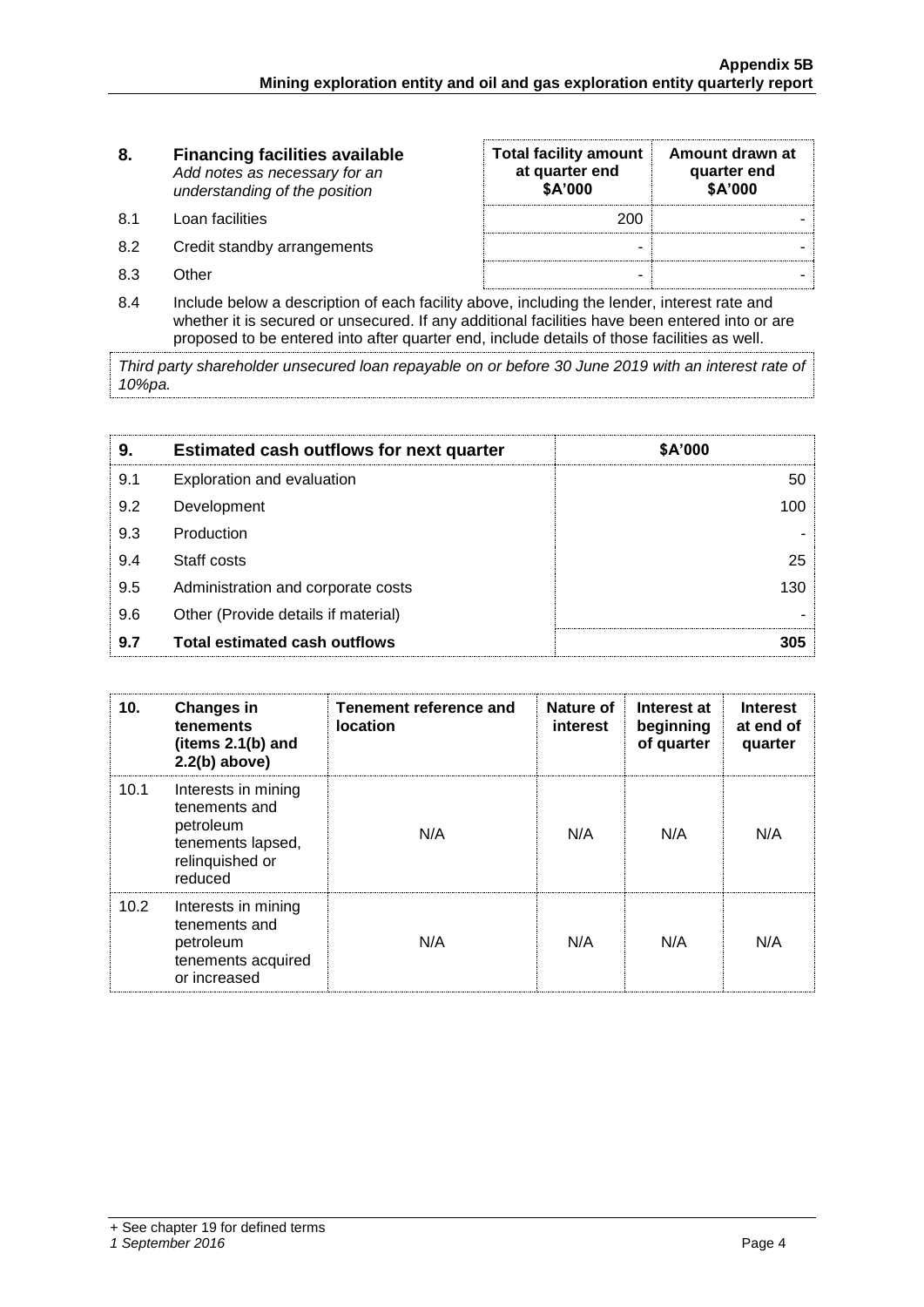| 8.   | <b>Financing facilities available</b><br>Add notes as necessary for an<br>understanding of the position | <b>Total facility amount</b><br>at quarter end<br>\$A'000 | Amount drawn at<br>quarter end<br>\$A'000 |
|------|---------------------------------------------------------------------------------------------------------|-----------------------------------------------------------|-------------------------------------------|
| .8.1 | Loan facilities                                                                                         | 200                                                       |                                           |
| 8.2  | Credit standby arrangements                                                                             | -                                                         |                                           |
| 8.3  | ∩ther                                                                                                   | -                                                         |                                           |

8.4 Include below a description of each facility above, including the lender, interest rate and whether it is secured or unsecured. If any additional facilities have been entered into or are proposed to be entered into after quarter end, include details of those facilities as well.

*Third party shareholder unsecured loan repayable on or before 30 June 2019 with an interest rate of 10%pa.*

| 9.  | <b>Estimated cash outflows for next quarter</b> | \$A'000 |  |
|-----|-------------------------------------------------|---------|--|
| 9.1 | Exploration and evaluation                      | 50      |  |
| 9.2 | Development                                     | 100     |  |
| 9.3 | Production                                      |         |  |
| 9.4 | Staff costs                                     | 25      |  |
| 9.5 | Administration and corporate costs              | 130     |  |
| 9.6 | Other (Provide details if material)             |         |  |
| 9.7 | <b>Total estimated cash outflows</b>            | 305     |  |

| 10.  | <b>Changes in</b><br>tenements<br>(items 2.1(b) and<br>$2.2(b)$ above)                               | Tenement reference and<br><b>location</b> | Nature of<br>interest | Interest at<br>beginning<br>of quarter | <b>Interest</b><br>at end of<br>quarter |
|------|------------------------------------------------------------------------------------------------------|-------------------------------------------|-----------------------|----------------------------------------|-----------------------------------------|
| 10.1 | Interests in mining<br>tenements and<br>petroleum<br>tenements lapsed,<br>relinquished or<br>reduced | N/A                                       | N/A                   | N/A                                    | N/A                                     |
| 10.2 | Interests in mining<br>tenements and<br>petroleum<br>tenements acquired<br>or increased              | N/A                                       | N/A                   | N/A                                    | N/A                                     |